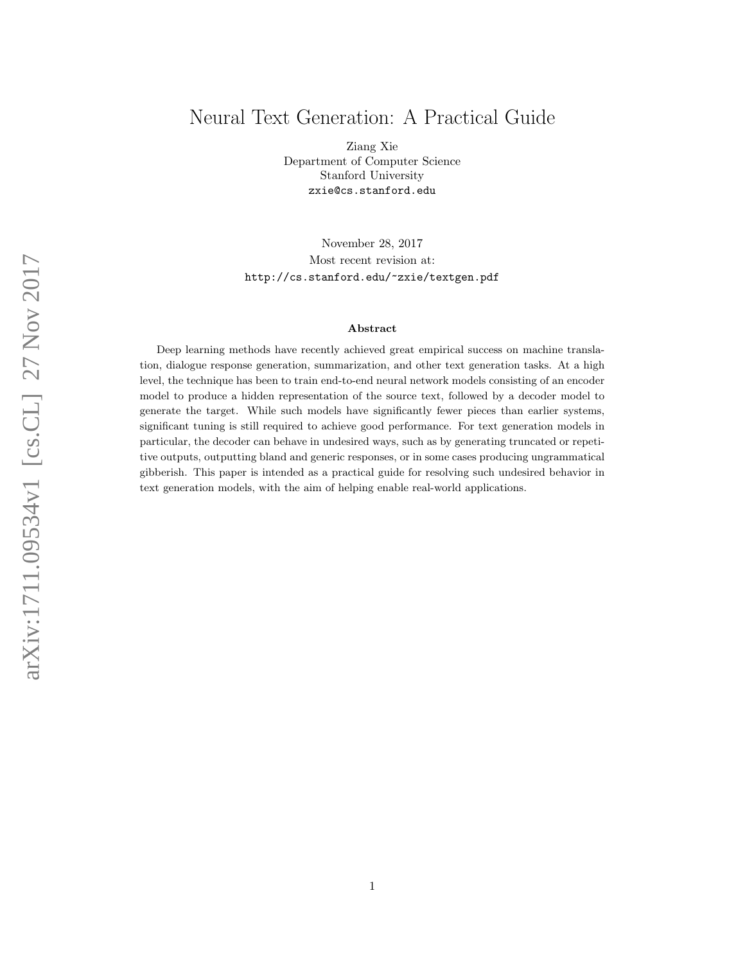# Neural Text Generation: A Practical Guide

Ziang Xie Department of Computer Science Stanford University zxie@cs.stanford.edu

November 28, 2017 Most recent revision at: <http://cs.stanford.edu/~zxie/textgen.pdf>

#### Abstract

Deep learning methods have recently achieved great empirical success on machine translation, dialogue response generation, summarization, and other text generation tasks. At a high level, the technique has been to train end-to-end neural network models consisting of an encoder model to produce a hidden representation of the source text, followed by a decoder model to generate the target. While such models have significantly fewer pieces than earlier systems, significant tuning is still required to achieve good performance. For text generation models in particular, the decoder can behave in undesired ways, such as by generating truncated or repetitive outputs, outputting bland and generic responses, or in some cases producing ungrammatical gibberish. This paper is intended as a practical guide for resolving such undesired behavior in text generation models, with the aim of helping enable real-world applications.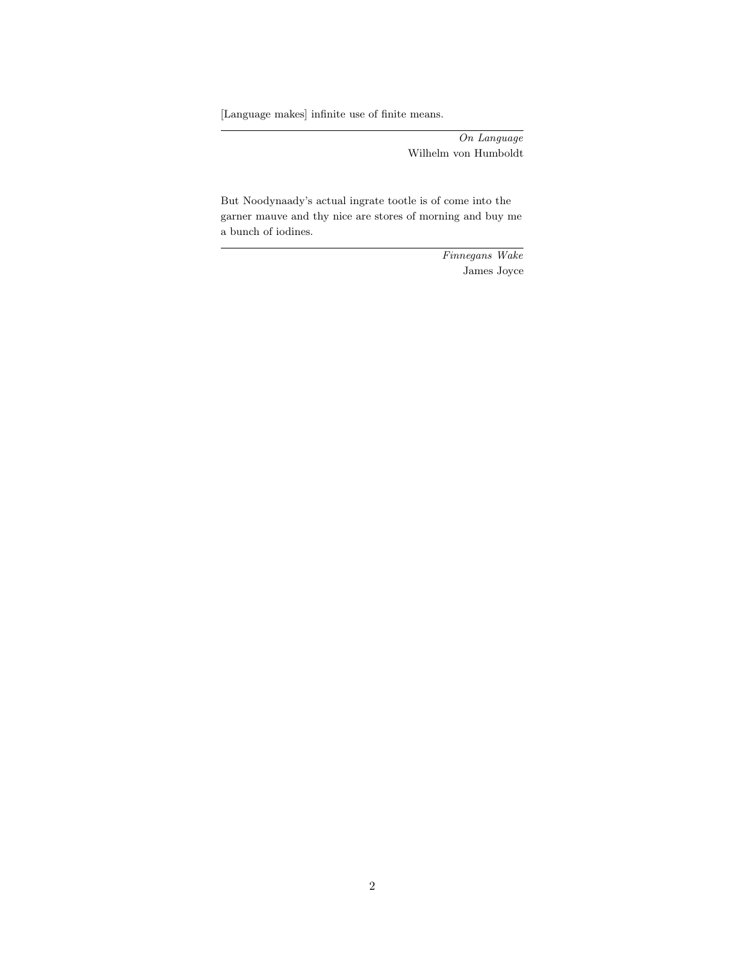[Language makes] infinite use of finite means.

On Language Wilhelm von Humboldt

But Noodynaady's actual ingrate tootle is of come into the garner mauve and thy nice are stores of morning and buy me a bunch of iodines.

> Finnegans Wake James Joyce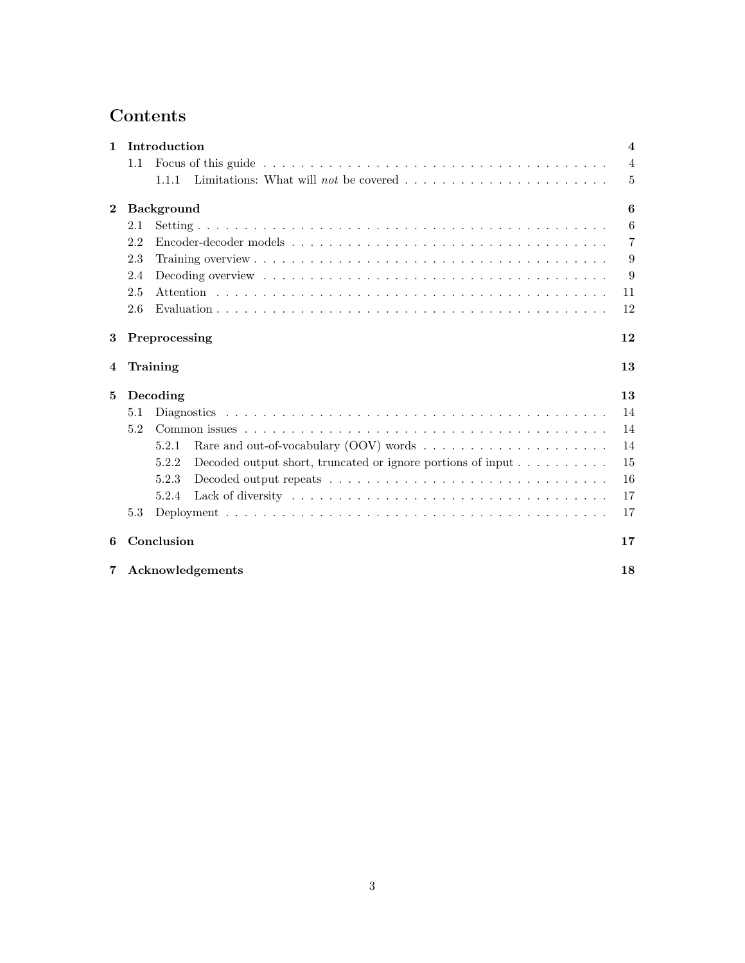# Contents

| $\mathbf{1}$     | Introduction                                                                             |                |  |  |  |  |  |
|------------------|------------------------------------------------------------------------------------------|----------------|--|--|--|--|--|
|                  | 1.1                                                                                      | $\overline{4}$ |  |  |  |  |  |
|                  | 1.1.1                                                                                    | $\overline{5}$ |  |  |  |  |  |
| $\boldsymbol{2}$ | <b>Background</b>                                                                        | 6              |  |  |  |  |  |
|                  | 2.1                                                                                      | 6              |  |  |  |  |  |
|                  | 2.2                                                                                      | $\overline{7}$ |  |  |  |  |  |
|                  | 2.3                                                                                      | 9              |  |  |  |  |  |
|                  | 2.4                                                                                      | 9              |  |  |  |  |  |
|                  | 2.5                                                                                      | 11             |  |  |  |  |  |
|                  | 2.6                                                                                      | 12             |  |  |  |  |  |
| 3                | 12<br>Preprocessing                                                                      |                |  |  |  |  |  |
| 4                | 13<br>Training                                                                           |                |  |  |  |  |  |
| 5                | Decoding                                                                                 | 13             |  |  |  |  |  |
|                  | 5.1                                                                                      | 14             |  |  |  |  |  |
| 5.2              |                                                                                          |                |  |  |  |  |  |
|                  | 5.2.1                                                                                    | 14             |  |  |  |  |  |
|                  | Decoded output short, truncated or ignore portions of input $\dots \dots \dots$<br>5.2.2 | 15             |  |  |  |  |  |
|                  | 5.2.3                                                                                    | 16             |  |  |  |  |  |
|                  | 5.2.4                                                                                    | 17             |  |  |  |  |  |
|                  | 5.3                                                                                      | 17             |  |  |  |  |  |
| 6                | Conclusion<br>17                                                                         |                |  |  |  |  |  |
| 7                | Acknowledgements                                                                         |                |  |  |  |  |  |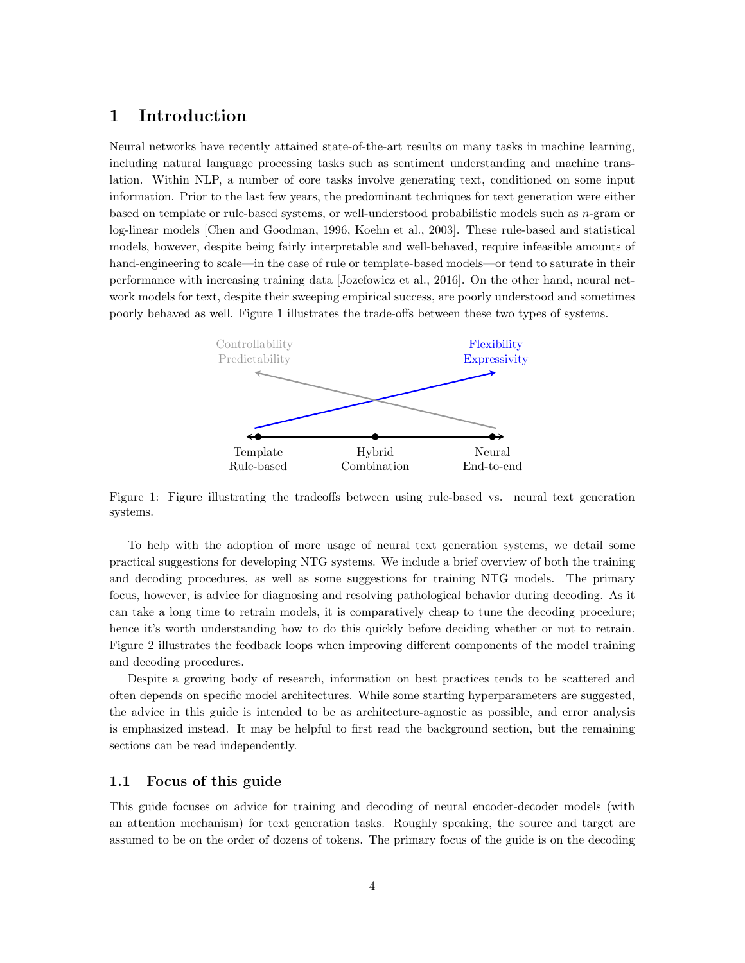# <span id="page-3-0"></span>1 Introduction

Neural networks have recently attained state-of-the-art results on many tasks in machine learning, including natural language processing tasks such as sentiment understanding and machine translation. Within NLP, a number of core tasks involve generating text, conditioned on some input information. Prior to the last few years, the predominant techniques for text generation were either based on template or rule-based systems, or well-understood probabilistic models such as n-gram or log-linear models [\[Chen and Goodman,](#page-17-1) [1996,](#page-17-1) [Koehn et al.,](#page-18-0) [2003\]](#page-18-0). These rule-based and statistical models, however, despite being fairly interpretable and well-behaved, require infeasible amounts of hand-engineering to scale—in the case of rule or template-based models—or tend to saturate in their performance with increasing training data [\[Jozefowicz et al.,](#page-17-2) [2016\]](#page-17-2). On the other hand, neural network models for text, despite their sweeping empirical success, are poorly understood and sometimes poorly behaved as well. Figure [1](#page-3-2) illustrates the trade-offs between these two types of systems.

<span id="page-3-2"></span>

Figure 1: Figure illustrating the tradeoffs between using rule-based vs. neural text generation systems.

To help with the adoption of more usage of neural text generation systems, we detail some practical suggestions for developing NTG systems. We include a brief overview of both the training and decoding procedures, as well as some suggestions for training NTG models. The primary focus, however, is advice for diagnosing and resolving pathological behavior during decoding. As it can take a long time to retrain models, it is comparatively cheap to tune the decoding procedure; hence it's worth understanding how to do this quickly before deciding whether or not to retrain. Figure [2](#page-4-1) illustrates the feedback loops when improving different components of the model training and decoding procedures.

Despite a growing body of research, information on best practices tends to be scattered and often depends on specific model architectures. While some starting hyperparameters are suggested, the advice in this guide is intended to be as architecture-agnostic as possible, and error analysis is emphasized instead. It may be helpful to first read the background section, but the remaining sections can be read independently.

### <span id="page-3-1"></span>1.1 Focus of this guide

This guide focuses on advice for training and decoding of neural encoder-decoder models (with an attention mechanism) for text generation tasks. Roughly speaking, the source and target are assumed to be on the order of dozens of tokens. The primary focus of the guide is on the decoding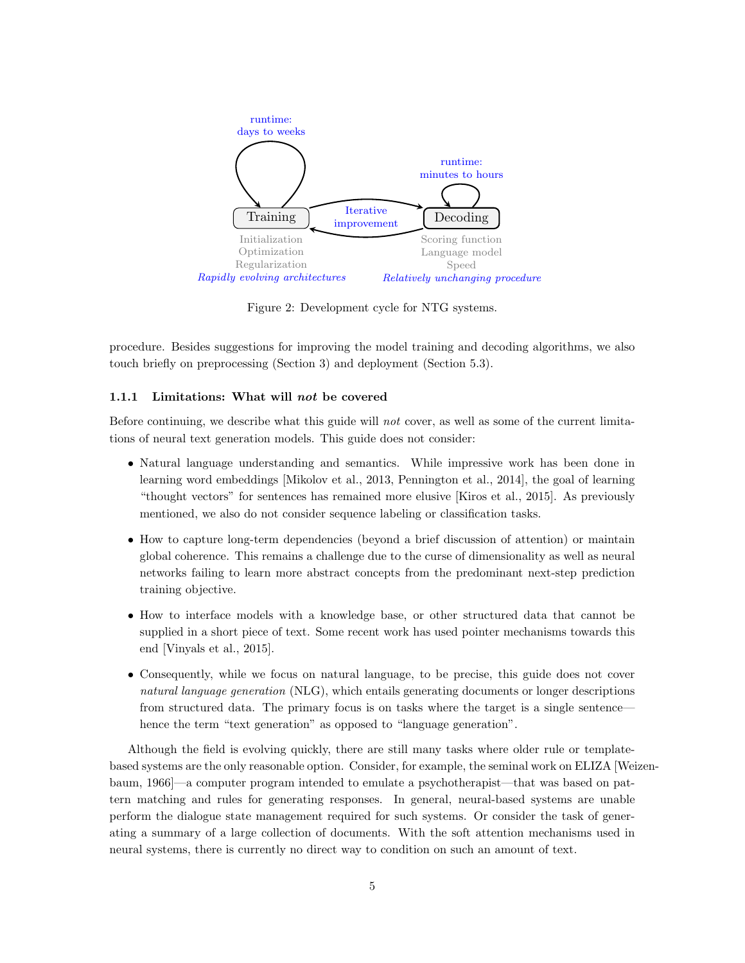<span id="page-4-1"></span>

Figure 2: Development cycle for NTG systems.

procedure. Besides suggestions for improving the model training and decoding algorithms, we also touch briefly on preprocessing (Section [3\)](#page-11-1) and deployment (Section [5.3\)](#page-16-1).

#### <span id="page-4-0"></span>1.1.1 Limitations: What will not be covered

Before continuing, we describe what this guide will not cover, as well as some of the current limitations of neural text generation models. This guide does not consider:

- Natural language understanding and semantics. While impressive work has been done in learning word embeddings [\[Mikolov et al.,](#page-18-1) [2013,](#page-18-1) [Pennington et al.,](#page-18-2) [2014\]](#page-18-2), the goal of learning "thought vectors" for sentences has remained more elusive [\[Kiros et al.,](#page-18-3) [2015\]](#page-18-3). As previously mentioned, we also do not consider sequence labeling or classification tasks.
- How to capture long-term dependencies (beyond a brief discussion of attention) or maintain global coherence. This remains a challenge due to the curse of dimensionality as well as neural networks failing to learn more abstract concepts from the predominant next-step prediction training objective.
- How to interface models with a knowledge base, or other structured data that cannot be supplied in a short piece of text. Some recent work has used pointer mechanisms towards this end [\[Vinyals et al.,](#page-19-0) [2015\]](#page-19-0).
- Consequently, while we focus on natural language, to be precise, this guide does not cover natural language generation (NLG), which entails generating documents or longer descriptions from structured data. The primary focus is on tasks where the target is a single sentence hence the term "text generation" as opposed to "language generation".

Although the field is evolving quickly, there are still many tasks where older rule or templatebased systems are the only reasonable option. Consider, for example, the seminal work on ELIZA [\[Wei](#page-19-1)zen[baum,](#page-19-1) [1966\]](#page-19-1)—a computer program intended to emulate a psychotherapist—that was based on pattern matching and rules for generating responses. In general, neural-based systems are unable perform the dialogue state management required for such systems. Or consider the task of generating a summary of a large collection of documents. With the soft attention mechanisms used in neural systems, there is currently no direct way to condition on such an amount of text.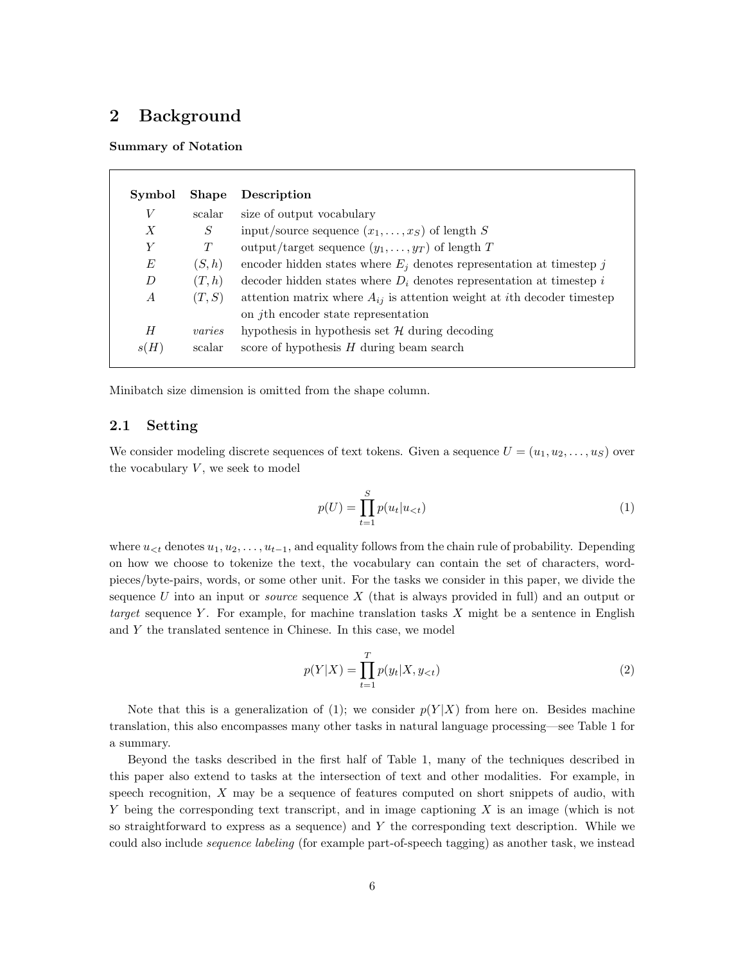# <span id="page-5-0"></span>2 Background

Summary of Notation

| Symbol           | <b>Shape</b> | Description                                                                         |
|------------------|--------------|-------------------------------------------------------------------------------------|
| V                | scalar       | size of output vocabulary                                                           |
| $\boldsymbol{X}$ | S            | input/source sequence $(x_1, \ldots, x_S)$ of length S                              |
| Y                | T            | output/target sequence $(y_1, \ldots, y_T)$ of length T                             |
| E                | (S,h)        | encoder hidden states where $E_i$ denotes representation at timestep j              |
| D                | (T, h)       | decoder hidden states where $D_i$ denotes representation at timestep i              |
| $\boldsymbol{A}$ | (T, S)       | attention matrix where $A_{ij}$ is attention weight at <i>i</i> th decoder timestep |
|                  |              | on <i>j</i> th encoder state representation                                         |
| Н                | varies       | hypothesis in hypothesis set $H$ during decoding                                    |
| s(H)             | scalar       | score of hypothesis $H$ during beam search                                          |

Minibatch size dimension is omitted from the shape column.

## <span id="page-5-1"></span>2.1 Setting

We consider modeling discrete sequences of text tokens. Given a sequence  $U = (u_1, u_2, \dots, u_S)$  over the vocabulary  $V$ , we seek to model

<span id="page-5-2"></span>
$$
p(U) = \prod_{t=1}^{S} p(u_t | u_{< t})
$$
\n(1)

where  $u_{< t}$  denotes  $u_1, u_2, \ldots, u_{t-1}$ , and equality follows from the chain rule of probability. Depending on how we choose to tokenize the text, the vocabulary can contain the set of characters, wordpieces/byte-pairs, words, or some other unit. For the tasks we consider in this paper, we divide the sequence U into an input or *source* sequence X (that is always provided in full) and an output or target sequence Y. For example, for machine translation tasks  $X$  might be a sentence in English and Y the translated sentence in Chinese. In this case, we model

$$
p(Y|X) = \prod_{t=1}^{T} p(y_t|X, y_{< t})
$$
\n(2)

Note that this is a generalization of [\(1\)](#page-5-2); we consider  $p(Y|X)$  from here on. Besides machine translation, this also encompasses many other tasks in natural language processing—see Table [1](#page-6-1) for a summary.

Beyond the tasks described in the first half of Table [1,](#page-6-1) many of the techniques described in this paper also extend to tasks at the intersection of text and other modalities. For example, in speech recognition, X may be a sequence of features computed on short snippets of audio, with Y being the corresponding text transcript, and in image captioning X is an image (which is not so straightforward to express as a sequence) and  $Y$  the corresponding text description. While we could also include *sequence labeling* (for example part-of-speech tagging) as another task, we instead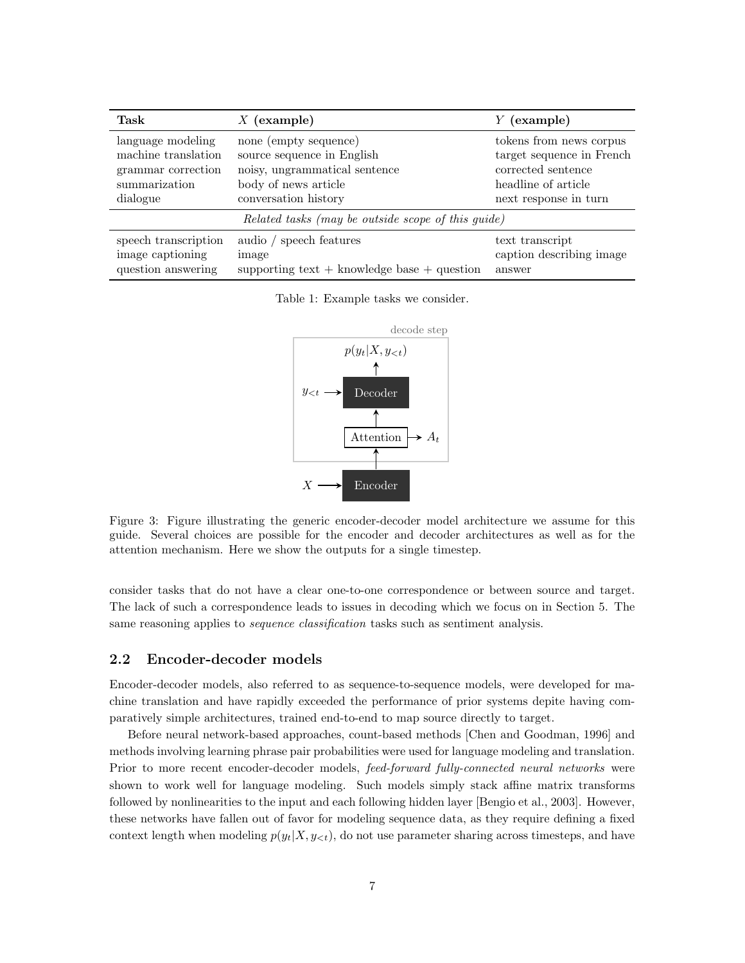<span id="page-6-1"></span>

| Task                                               | $X$ (example)                                   | $Y$ (example)             |  |  |
|----------------------------------------------------|-------------------------------------------------|---------------------------|--|--|
| language modeling                                  | none (empty sequence)                           | tokens from news corpus   |  |  |
| machine translation                                | source sequence in English                      | target sequence in French |  |  |
| grammar correction                                 | noisy, ungrammatical sentence                   | corrected sentence        |  |  |
| summarization                                      | body of news article                            | headline of article       |  |  |
| dialogue                                           | conversation history                            | next response in turn     |  |  |
| Related tasks (may be outside scope of this guide) |                                                 |                           |  |  |
| speech transcription                               | audio / speech features                         | text transcript           |  |  |
| image captioning                                   | image                                           | caption describing image  |  |  |
| question answering                                 | supporting text $+$ knowledge base $+$ question | answer                    |  |  |

<span id="page-6-2"></span>Table 1: Example tasks we consider.



Figure 3: Figure illustrating the generic encoder-decoder model architecture we assume for this guide. Several choices are possible for the encoder and decoder architectures as well as for the attention mechanism. Here we show the outputs for a single timestep.

consider tasks that do not have a clear one-to-one correspondence or between source and target. The lack of such a correspondence leads to issues in decoding which we focus on in Section [5.](#page-12-1) The same reasoning applies to *sequence classification* tasks such as sentiment analysis.

### <span id="page-6-0"></span>2.2 Encoder-decoder models

Encoder-decoder models, also referred to as sequence-to-sequence models, were developed for machine translation and have rapidly exceeded the performance of prior systems depite having comparatively simple architectures, trained end-to-end to map source directly to target.

Before neural network-based approaches, count-based methods [\[Chen and Goodman,](#page-17-1) [1996\]](#page-17-1) and methods involving learning phrase pair probabilities were used for language modeling and translation. Prior to more recent encoder-decoder models, feed-forward fully-connected neural networks were shown to work well for language modeling. Such models simply stack affine matrix transforms followed by nonlinearities to the input and each following hidden layer [\[Bengio et al.,](#page-17-3) [2003\]](#page-17-3). However, these networks have fallen out of favor for modeling sequence data, as they require defining a fixed context length when modeling  $p(y_t|X, y_{< t})$ , do not use parameter sharing across timesteps, and have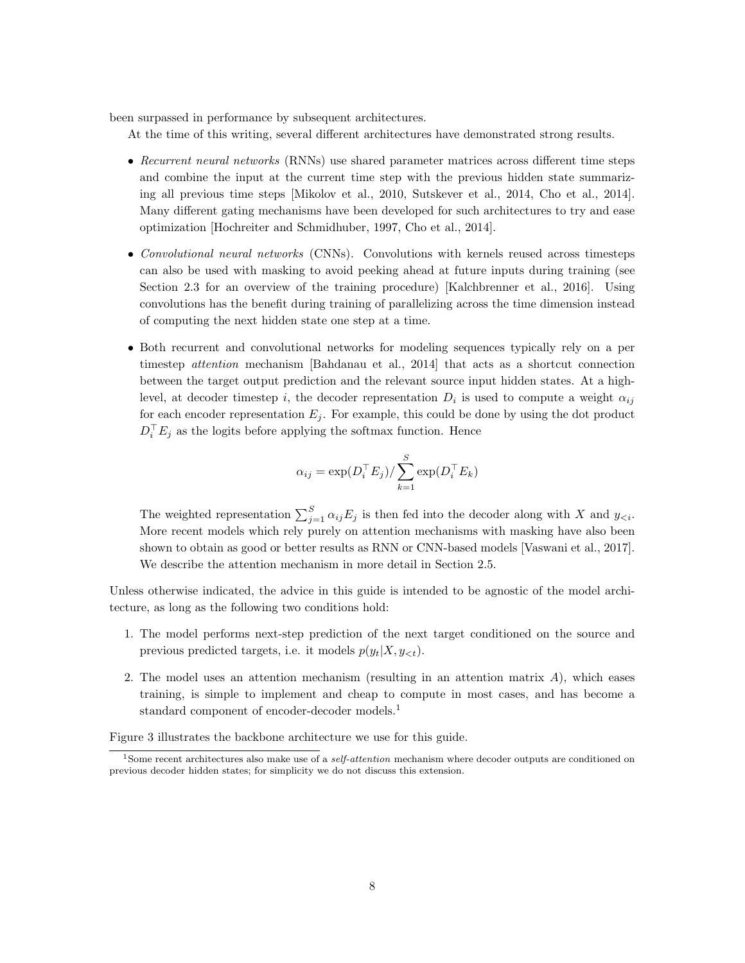been surpassed in performance by subsequent architectures.

At the time of this writing, several different architectures have demonstrated strong results.

- Recurrent neural networks (RNNs) use shared parameter matrices across different time steps and combine the input at the current time step with the previous hidden state summarizing all previous time steps [\[Mikolov et al.,](#page-18-4) [2010,](#page-18-4) [Sutskever et al.,](#page-19-2) [2014,](#page-19-2) [Cho et al.,](#page-17-4) [2014\]](#page-17-4). Many different gating mechanisms have been developed for such architectures to try and ease optimization [\[Hochreiter and Schmidhuber,](#page-17-5) [1997,](#page-17-5) [Cho et al.,](#page-17-4) [2014\]](#page-17-4).
- Convolutional neural networks (CNNs). Convolutions with kernels reused across timesteps can also be used with masking to avoid peeking ahead at future inputs during training (see Section [2.3](#page-8-0) for an overview of the training procedure) [\[Kalchbrenner et al.,](#page-17-6) [2016\]](#page-17-6). Using convolutions has the benefit during training of parallelizing across the time dimension instead of computing the next hidden state one step at a time.
- Both recurrent and convolutional networks for modeling sequences typically rely on a per timestep attention mechanism [\[Bahdanau et al.,](#page-17-7) [2014\]](#page-17-7) that acts as a shortcut connection between the target output prediction and the relevant source input hidden states. At a highlevel, at decoder timestep i, the decoder representation  $D_i$  is used to compute a weight  $\alpha_{ij}$ for each encoder representation  $E_j$ . For example, this could be done by using the dot product  $D_i^{\top} E_j$  as the logits before applying the softmax function. Hence

$$
\alpha_{ij} = \exp(D_i^\top E_j) / \sum_{k=1}^S \exp(D_i^\top E_k)
$$

The weighted representation  $\sum_{j=1}^{S} \alpha_{ij} E_j$  is then fed into the decoder along with X and  $y_{\leq i}$ . More recent models which rely purely on attention mechanisms with masking have also been shown to obtain as good or better results as RNN or CNN-based models [\[Vaswani et al.,](#page-19-3) [2017\]](#page-19-3). We describe the attention mechanism in more detail in Section [2.5.](#page-10-0)

Unless otherwise indicated, the advice in this guide is intended to be agnostic of the model architecture, as long as the following two conditions hold:

- 1. The model performs next-step prediction of the next target conditioned on the source and previous predicted targets, i.e. it models  $p(y_t|X, y_{\leq t})$ .
- 2. The model uses an attention mechanism (resulting in an attention matrix  $A$ ), which eases training, is simple to implement and cheap to compute in most cases, and has become a standard component of encoder-decoder models.[1](#page-7-0)

Figure [3](#page-6-2) illustrates the backbone architecture we use for this guide.

<span id="page-7-0"></span><sup>&</sup>lt;sup>1</sup>Some recent architectures also make use of a *self-attention* mechanism where decoder outputs are conditioned on previous decoder hidden states; for simplicity we do not discuss this extension.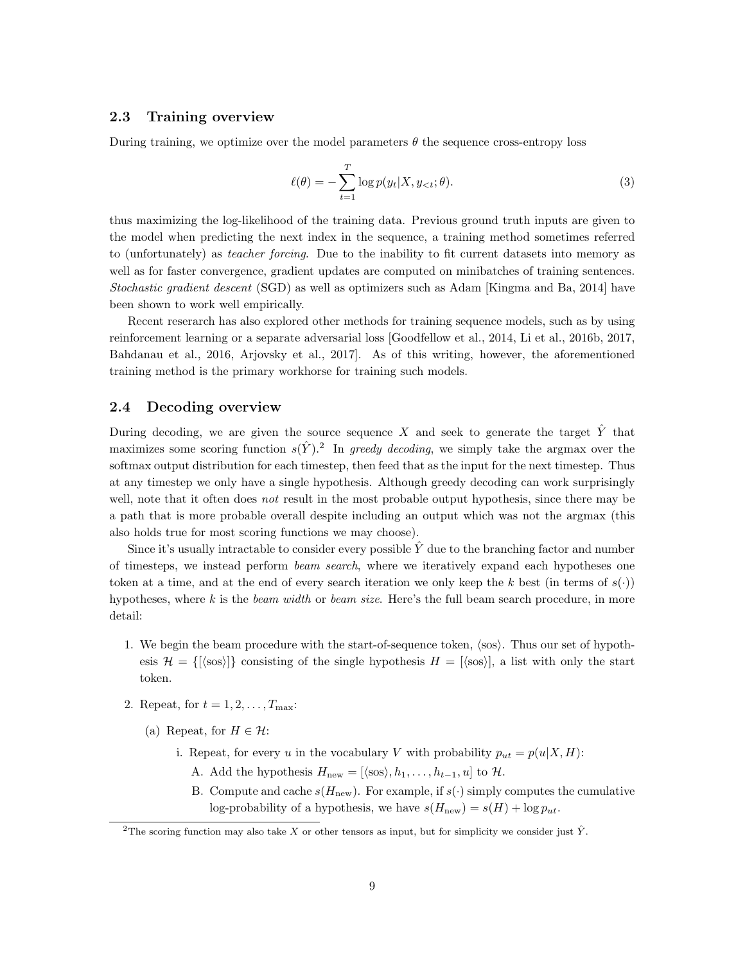### <span id="page-8-0"></span>2.3 Training overview

During training, we optimize over the model parameters  $\theta$  the sequence cross-entropy loss

$$
\ell(\theta) = -\sum_{t=1}^{T} \log p(y_t | X, y_{<}; \theta). \tag{3}
$$

thus maximizing the log-likelihood of the training data. Previous ground truth inputs are given to the model when predicting the next index in the sequence, a training method sometimes referred to (unfortunately) as teacher forcing. Due to the inability to fit current datasets into memory as well as for faster convergence, gradient updates are computed on minibatches of training sentences. Stochastic gradient descent (SGD) as well as optimizers such as Adam [\[Kingma and Ba,](#page-18-5) [2014\]](#page-18-5) have been shown to work well empirically.

Recent reserarch has also explored other methods for training sequence models, such as by using reinforcement learning or a separate adversarial loss [\[Goodfellow et al.,](#page-17-8) [2014,](#page-17-8) [Li et al.,](#page-18-6) [2016b,](#page-18-6) [2017,](#page-18-7) [Bahdanau et al.,](#page-17-9) [2016,](#page-17-9) [Arjovsky et al.,](#page-17-10) [2017\]](#page-17-10). As of this writing, however, the aforementioned training method is the primary workhorse for training such models.

### <span id="page-8-1"></span>2.4 Decoding overview

During decoding, we are given the source sequence X and seek to generate the target  $\hat{Y}$  that maximizes some scoring function  $s(\hat{Y})$ .<sup>[2](#page-8-2)</sup> In greedy decoding, we simply take the argmax over the softmax output distribution for each timestep, then feed that as the input for the next timestep. Thus at any timestep we only have a single hypothesis. Although greedy decoding can work surprisingly well, note that it often does not result in the most probable output hypothesis, since there may be a path that is more probable overall despite including an output which was not the argmax (this also holds true for most scoring functions we may choose).

Since it's usually intractable to consider every possible  $\hat{Y}$  due to the branching factor and number of timesteps, we instead perform *beam search*, where we iteratively expand each hypotheses one token at a time, and at the end of every search iteration we only keep the k best (in terms of  $s(.)$ ) hypotheses, where k is the beam width or beam size. Here's the full beam search procedure, in more detail:

- 1. We begin the beam procedure with the start-of-sequence token,  $\langle \text{sos} \rangle$ . Thus our set of hypothesis  $\mathcal{H} = \{[\langle \text{sos} \rangle]\}$  consisting of the single hypothesis  $H = [\langle \text{sos} \rangle]$ , a list with only the start token.
- 2. Repeat, for  $t = 1, 2, \ldots, T_{\text{max}}$ :
	- (a) Repeat, for  $H \in \mathcal{H}$ :

i. Repeat, for every u in the vocabulary V with probability  $p_{ut} = p(u|X, H)$ :

- A. Add the hypothesis  $H_{\text{new}} = [\langle \text{sos} \rangle, h_1, \dots, h_{t-1}, u]$  to  $\mathcal{H}$ .
- B. Compute and cache  $s(H_{\text{new}})$ . For example, if  $s(\cdot)$  simply computes the cumulative log-probability of a hypothesis, we have  $s(H_{\text{new}}) = s(H) + \log p_{ut}$ .

<span id="page-8-2"></span><sup>&</sup>lt;sup>2</sup>The scoring function may also take X or other tensors as input, but for simplicity we consider just  $\hat{Y}$ .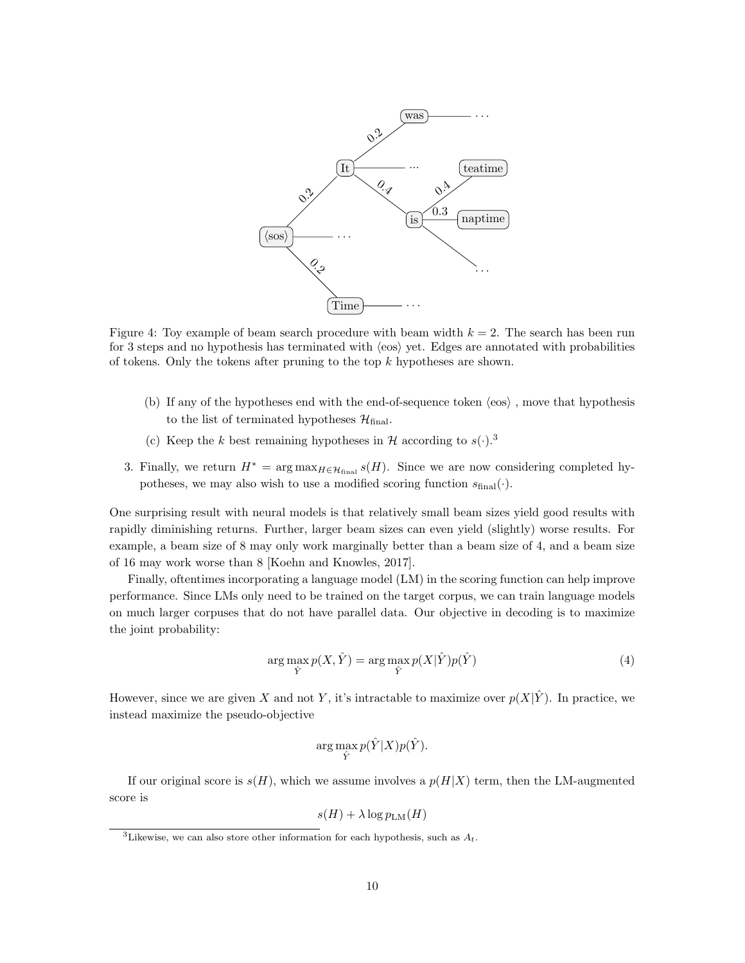

Figure 4: Toy example of beam search procedure with beam width  $k = 2$ . The search has been run for 3 steps and no hypothesis has terminated with  $\langle \cos \rangle$  yet. Edges are annotated with probabilities of tokens. Only the tokens after pruning to the top  $k$  hypotheses are shown.

- (b) If any of the hypotheses end with the end-of-sequence token  $\langle \cos \rangle$ , move that hypothesis to the list of terminated hypotheses  $\mathcal{H}_{final}$ .
- (c) Keep the k best remaining hypotheses in H according to  $s(\cdot)$ .<sup>[3](#page-9-0)</sup>
- 3. Finally, we return  $H^* = \arg \max_{H \in \mathcal{H}_{\text{final}}} s(H)$ . Since we are now considering completed hypotheses, we may also wish to use a modified scoring function  $s_{\text{final}}(\cdot)$ .

One surprising result with neural models is that relatively small beam sizes yield good results with rapidly diminishing returns. Further, larger beam sizes can even yield (slightly) worse results. For example, a beam size of 8 may only work marginally better than a beam size of 4, and a beam size of 16 may work worse than 8 [\[Koehn and Knowles,](#page-18-8) [2017\]](#page-18-8).

Finally, oftentimes incorporating a language model (LM) in the scoring function can help improve performance. Since LMs only need to be trained on the target corpus, we can train language models on much larger corpuses that do not have parallel data. Our objective in decoding is to maximize the joint probability:

$$
\arg\max_{\hat{Y}} p(X, \hat{Y}) = \arg\max_{\hat{Y}} p(X|\hat{Y}) p(\hat{Y})
$$
\n(4)

However, since we are given X and not Y, it's intractable to maximize over  $p(X|\hat{Y})$ . In practice, we instead maximize the pseudo-objective

$$
\arg\max_{\hat{Y}} p(\hat{Y}|X)p(\hat{Y}).
$$

If our original score is  $s(H)$ , which we assume involves a  $p(H|X)$  term, then the LM-augmented score is

$$
s(H) + \lambda \log p_{\text{LM}}(H)
$$

<span id="page-9-0"></span><sup>&</sup>lt;sup>3</sup>Likewise, we can also store other information for each hypothesis, such as  $A_t$ .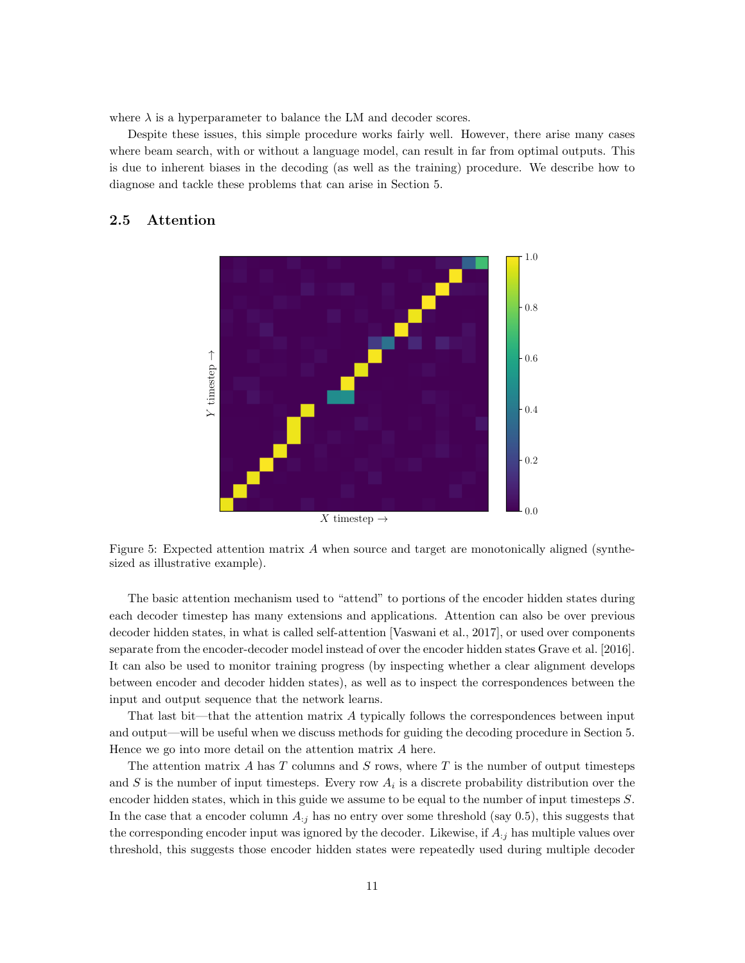where  $\lambda$  is a hyperparameter to balance the LM and decoder scores.

Despite these issues, this simple procedure works fairly well. However, there arise many cases where beam search, with or without a language model, can result in far from optimal outputs. This is due to inherent biases in the decoding (as well as the training) procedure. We describe how to diagnose and tackle these problems that can arise in Section [5.](#page-12-1)

# <span id="page-10-1"></span><span id="page-10-0"></span>2.5 Attention



Figure 5: Expected attention matrix  $A$  when source and target are monotonically aligned (synthesized as illustrative example).

The basic attention mechanism used to "attend" to portions of the encoder hidden states during each decoder timestep has many extensions and applications. Attention can also be over previous decoder hidden states, in what is called self-attention [\[Vaswani et al.,](#page-19-3) [2017\]](#page-19-3), or used over components separate from the encoder-decoder model instead of over the encoder hidden states [Grave et al.](#page-17-11) [\[2016\]](#page-17-11). It can also be used to monitor training progress (by inspecting whether a clear alignment develops between encoder and decoder hidden states), as well as to inspect the correspondences between the input and output sequence that the network learns.

That last bit—that the attention matrix A typically follows the correspondences between input and output—will be useful when we discuss methods for guiding the decoding procedure in Section [5.](#page-12-1) Hence we go into more detail on the attention matrix A here.

The attention matrix  $A$  has  $T$  columns and  $S$  rows, where  $T$  is the number of output timesteps and S is the number of input timesteps. Every row  $A_i$  is a discrete probability distribution over the encoder hidden states, which in this guide we assume to be equal to the number of input timesteps S. In the case that a encoder column  $A_{ij}$  has no entry over some threshold (say 0.5), this suggests that the corresponding encoder input was ignored by the decoder. Likewise, if  $A_{:j}$  has multiple values over threshold, this suggests those encoder hidden states were repeatedly used during multiple decoder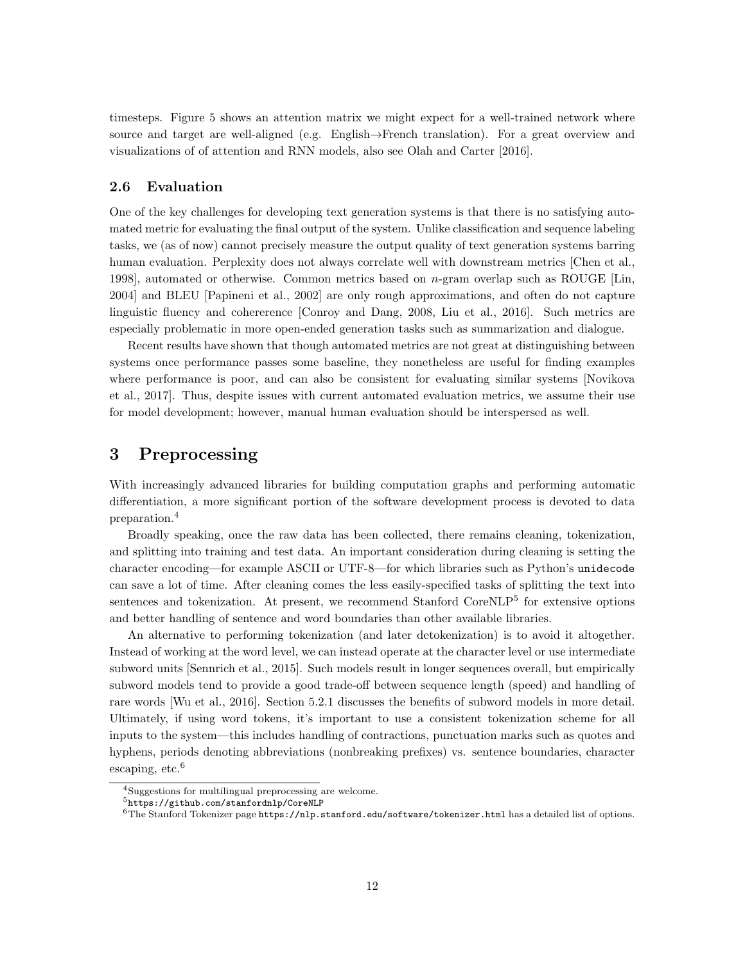timesteps. Figure [5](#page-10-1) shows an attention matrix we might expect for a well-trained network where source and target are well-aligned (e.g. English→French translation). For a great overview and visualizations of of attention and RNN models, also see [Olah and Carter](#page-18-9) [\[2016\]](#page-18-9).

### <span id="page-11-0"></span>2.6 Evaluation

One of the key challenges for developing text generation systems is that there is no satisfying automated metric for evaluating the final output of the system. Unlike classification and sequence labeling tasks, we (as of now) cannot precisely measure the output quality of text generation systems barring human evaluation. Perplexity does not always correlate well with downstream metrics [\[Chen et al.,](#page-17-12) [1998\]](#page-17-12), automated or otherwise. Common metrics based on n-gram overlap such as ROUGE [\[Lin,](#page-18-10) [2004\]](#page-18-10) and BLEU [\[Papineni et al.,](#page-18-11) [2002\]](#page-18-11) are only rough approximations, and often do not capture linguistic fluency and cohererence [\[Conroy and Dang,](#page-17-13) [2008,](#page-17-13) [Liu et al.,](#page-18-12) [2016\]](#page-18-12). Such metrics are especially problematic in more open-ended generation tasks such as summarization and dialogue.

Recent results have shown that though automated metrics are not great at distinguishing between systems once performance passes some baseline, they nonetheless are useful for finding examples where performance is poor, and can also be consistent for evaluating similar systems [\[Novikova](#page-18-13) [et al.,](#page-18-13) [2017\]](#page-18-13). Thus, despite issues with current automated evaluation metrics, we assume their use for model development; however, manual human evaluation should be interspersed as well.

# <span id="page-11-1"></span>3 Preprocessing

With increasingly advanced libraries for building computation graphs and performing automatic differentiation, a more significant portion of the software development process is devoted to data preparation.[4](#page-11-2)

Broadly speaking, once the raw data has been collected, there remains cleaning, tokenization, and splitting into training and test data. An important consideration during cleaning is setting the character encoding—for example ASCII or UTF-8—for which libraries such as Python's unidecode can save a lot of time. After cleaning comes the less easily-specified tasks of splitting the text into sentences and tokenization. At present, we recommend Stanford CoreNLP<sup>[5](#page-11-3)</sup> for extensive options and better handling of sentence and word boundaries than other available libraries.

An alternative to performing tokenization (and later detokenization) is to avoid it altogether. Instead of working at the word level, we can instead operate at the character level or use intermediate subword units [\[Sennrich et al.,](#page-19-4) [2015\]](#page-19-4). Such models result in longer sequences overall, but empirically subword models tend to provide a good trade-off between sequence length (speed) and handling of rare words [\[Wu et al.,](#page-19-5) [2016\]](#page-19-5). Section [5.2.1](#page-13-2) discusses the benefits of subword models in more detail. Ultimately, if using word tokens, it's important to use a consistent tokenization scheme for all inputs to the system—this includes handling of contractions, punctuation marks such as quotes and hyphens, periods denoting abbreviations (nonbreaking prefixes) vs. sentence boundaries, character escaping,  $etc.<sup>6</sup>$  $etc.<sup>6</sup>$  $etc.<sup>6</sup>$ 

<span id="page-11-2"></span><sup>&</sup>lt;sup>4</sup>Suggestions for multilingual preprocessing are welcome.

<span id="page-11-3"></span> $^5$ <https://github.com/stanfordnlp/CoreNLP>

<span id="page-11-4"></span> $6$ The Stanford Tokenizer page <https://nlp.stanford.edu/software/tokenizer.html> has a detailed list of options.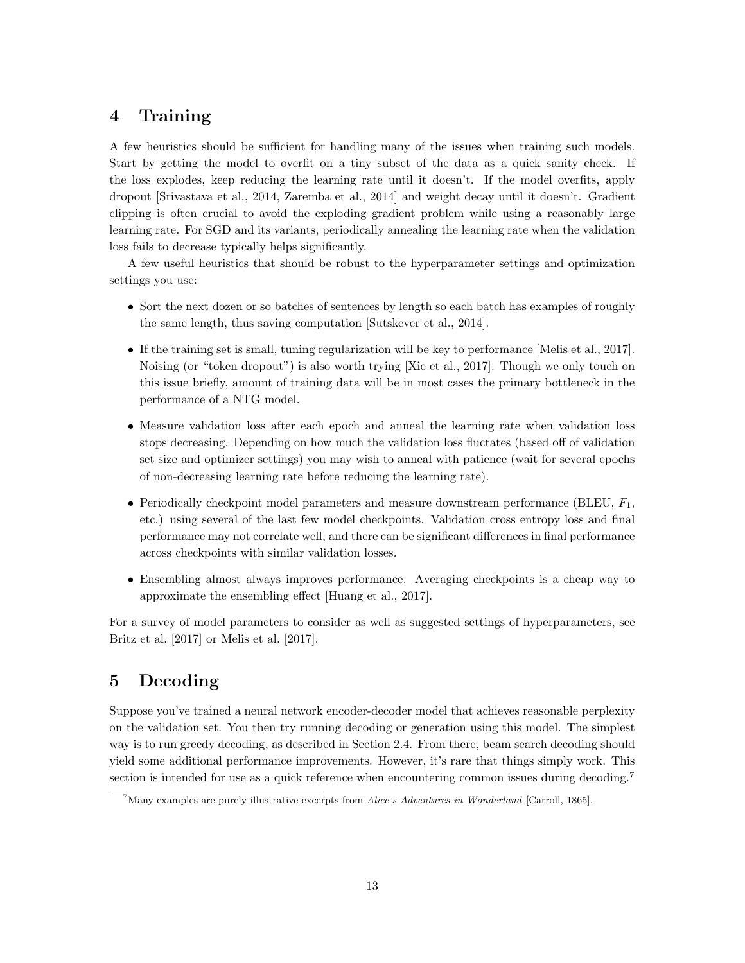# <span id="page-12-0"></span>4 Training

A few heuristics should be sufficient for handling many of the issues when training such models. Start by getting the model to overfit on a tiny subset of the data as a quick sanity check. If the loss explodes, keep reducing the learning rate until it doesn't. If the model overfits, apply dropout [\[Srivastava et al.,](#page-19-6) [2014,](#page-19-6) [Zaremba et al.,](#page-19-7) [2014\]](#page-19-7) and weight decay until it doesn't. Gradient clipping is often crucial to avoid the exploding gradient problem while using a reasonably large learning rate. For SGD and its variants, periodically annealing the learning rate when the validation loss fails to decrease typically helps significantly.

A few useful heuristics that should be robust to the hyperparameter settings and optimization settings you use:

- Sort the next dozen or so batches of sentences by length so each batch has examples of roughly the same length, thus saving computation [\[Sutskever et al.,](#page-19-2) [2014\]](#page-19-2).
- If the training set is small, tuning regularization will be key to performance [\[Melis et al.,](#page-18-14) [2017\]](#page-18-14). Noising (or "token dropout") is also worth trying [\[Xie et al.,](#page-19-8) [2017\]](#page-19-8). Though we only touch on this issue briefly, amount of training data will be in most cases the primary bottleneck in the performance of a NTG model.
- Measure validation loss after each epoch and anneal the learning rate when validation loss stops decreasing. Depending on how much the validation loss fluctates (based off of validation set size and optimizer settings) you may wish to anneal with patience (wait for several epochs of non-decreasing learning rate before reducing the learning rate).
- Periodically checkpoint model parameters and measure downstream performance (BLEU,  $F_1$ , etc.) using several of the last few model checkpoints. Validation cross entropy loss and final performance may not correlate well, and there can be significant differences in final performance across checkpoints with similar validation losses.
- Ensembling almost always improves performance. Averaging checkpoints is a cheap way to approximate the ensembling effect [\[Huang et al.,](#page-17-14) [2017\]](#page-17-14).

For a survey of model parameters to consider as well as suggested settings of hyperparameters, see [Britz et al.](#page-17-15) [\[2017\]](#page-17-15) or [Melis et al.](#page-18-14) [\[2017\]](#page-18-14).

# <span id="page-12-1"></span>5 Decoding

Suppose you've trained a neural network encoder-decoder model that achieves reasonable perplexity on the validation set. You then try running decoding or generation using this model. The simplest way is to run greedy decoding, as described in Section [2.4.](#page-8-1) From there, beam search decoding should yield some additional performance improvements. However, it's rare that things simply work. This section is intended for use as a quick reference when encountering common issues during decoding.<sup>[7](#page-12-2)</sup>

<span id="page-12-2"></span><sup>7</sup>Many examples are purely illustrative excerpts from Alice's Adventures in Wonderland [\[Carroll,](#page-17-16) [1865\]](#page-17-16).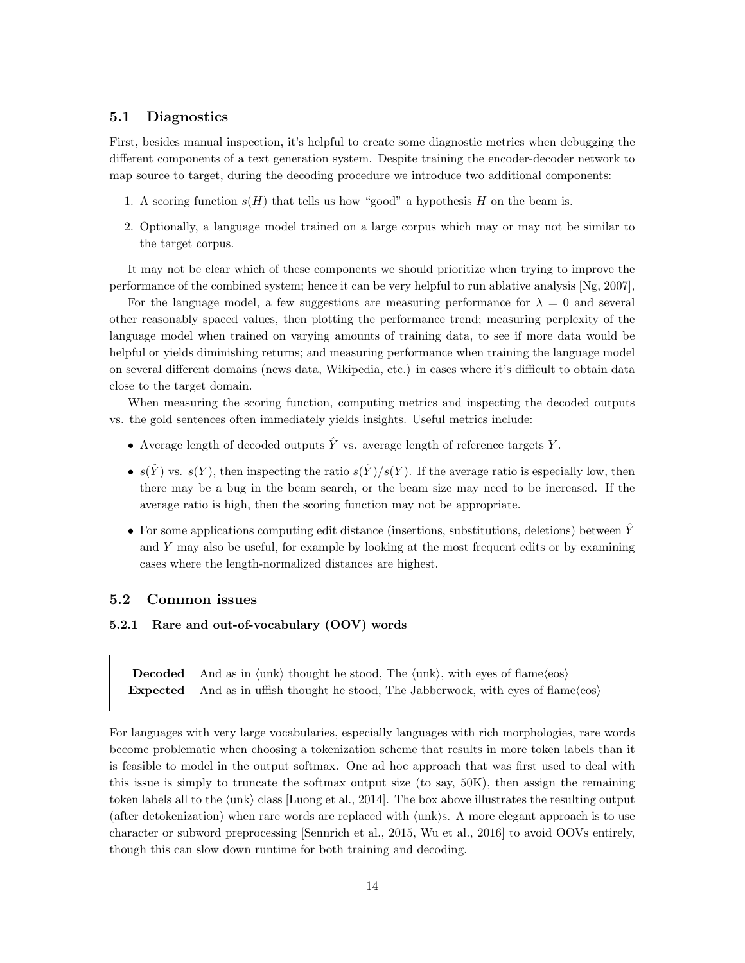## <span id="page-13-0"></span>5.1 Diagnostics

First, besides manual inspection, it's helpful to create some diagnostic metrics when debugging the different components of a text generation system. Despite training the encoder-decoder network to map source to target, during the decoding procedure we introduce two additional components:

- 1. A scoring function  $s(H)$  that tells us how "good" a hypothesis H on the beam is.
- 2. Optionally, a language model trained on a large corpus which may or may not be similar to the target corpus.

It may not be clear which of these components we should prioritize when trying to improve the performance of the combined system; hence it can be very helpful to run ablative analysis [\[Ng,](#page-18-15) [2007\]](#page-18-15),

For the language model, a few suggestions are measuring performance for  $\lambda = 0$  and several other reasonably spaced values, then plotting the performance trend; measuring perplexity of the language model when trained on varying amounts of training data, to see if more data would be helpful or yields diminishing returns; and measuring performance when training the language model on several different domains (news data, Wikipedia, etc.) in cases where it's difficult to obtain data close to the target domain.

When measuring the scoring function, computing metrics and inspecting the decoded outputs vs. the gold sentences often immediately yields insights. Useful metrics include:

- Average length of decoded outputs  $\hat{Y}$  vs. average length of reference targets Y.
- $s(\hat{Y})$  vs.  $s(Y)$ , then inspecting the ratio  $s(\hat{Y})/s(Y)$ . If the average ratio is especially low, then there may be a bug in the beam search, or the beam size may need to be increased. If the average ratio is high, then the scoring function may not be appropriate.
- For some applications computing edit distance (insertions, substitutions, deletions) between  $\hat{Y}$ and Y may also be useful, for example by looking at the most frequent edits or by examining cases where the length-normalized distances are highest.

#### <span id="page-13-1"></span>5.2 Common issues

#### <span id="page-13-2"></span>5.2.1 Rare and out-of-vocabulary (OOV) words

**Decoded** And as in  $\langle \text{unk} \rangle$  thought he stood, The  $\langle \text{unk} \rangle$ , with eyes of flame $\langle \text{eos} \rangle$ **Expected** And as in uffish thought he stood, The Jabberwock, with eyes of flame $\langle \cos \rangle$ 

For languages with very large vocabularies, especially languages with rich morphologies, rare words become problematic when choosing a tokenization scheme that results in more token labels than it is feasible to model in the output softmax. One ad hoc approach that was first used to deal with this issue is simply to truncate the softmax output size (to say, 50K), then assign the remaining token labels all to the  $\langle \text{unk} \rangle$  class [\[Luong et al.,](#page-18-16) [2014\]](#page-18-16). The box above illustrates the resulting output (after detokenization) when rare words are replaced with  $\langle \text{unk} \rangle$ s. A more elegant approach is to use character or subword preprocessing [\[Sennrich et al.,](#page-19-4) [2015,](#page-19-4) [Wu et al.,](#page-19-5) [2016\]](#page-19-5) to avoid OOVs entirely, though this can slow down runtime for both training and decoding.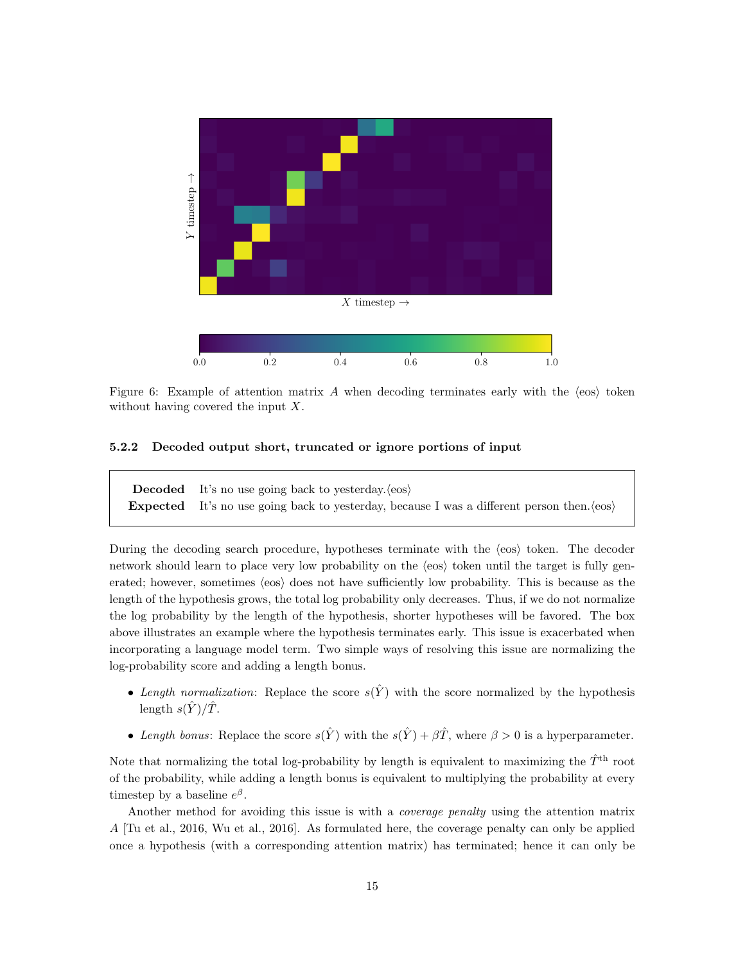

Figure 6: Example of attention matrix A when decoding terminates early with the  $\langle \cos \rangle$  token without having covered the input  $X$ .

#### <span id="page-14-0"></span>5.2.2 Decoded output short, truncated or ignore portions of input

**Decoded** It's no use going back to yesterday. $\langle \cos \rangle$ **Expected** It's no use going back to yesterday, because I was a different person then.  $\langle \cos \rangle$ 

During the decoding search procedure, hypotheses terminate with the  $\langle \cos \rangle$  token. The decoder network should learn to place very low probability on the  $\langle \cos \rangle$  token until the target is fully generated; however, sometimes  $\langle \cos \rangle$  does not have sufficiently low probability. This is because as the length of the hypothesis grows, the total log probability only decreases. Thus, if we do not normalize the log probability by the length of the hypothesis, shorter hypotheses will be favored. The box above illustrates an example where the hypothesis terminates early. This issue is exacerbated when incorporating a language model term. Two simple ways of resolving this issue are normalizing the log-probability score and adding a length bonus.

- Length normalization: Replace the score  $s(\hat{Y})$  with the score normalized by the hypothesis length  $s(\hat{Y})/\hat{T}$ .
- Length bonus: Replace the score  $s(\hat{Y})$  with the  $s(\hat{Y}) + \beta \hat{T}$ , where  $\beta > 0$  is a hyperparameter.

Note that normalizing the total log-probability by length is equivalent to maximizing the  $\hat{T}^{th}$  root of the probability, while adding a length bonus is equivalent to multiplying the probability at every timestep by a baseline  $e^{\beta}$ .

Another method for avoiding this issue is with a coverage penalty using the attention matrix A [\[Tu et al.,](#page-19-9) [2016,](#page-19-9) [Wu et al.,](#page-19-5) [2016\]](#page-19-5). As formulated here, the coverage penalty can only be applied once a hypothesis (with a corresponding attention matrix) has terminated; hence it can only be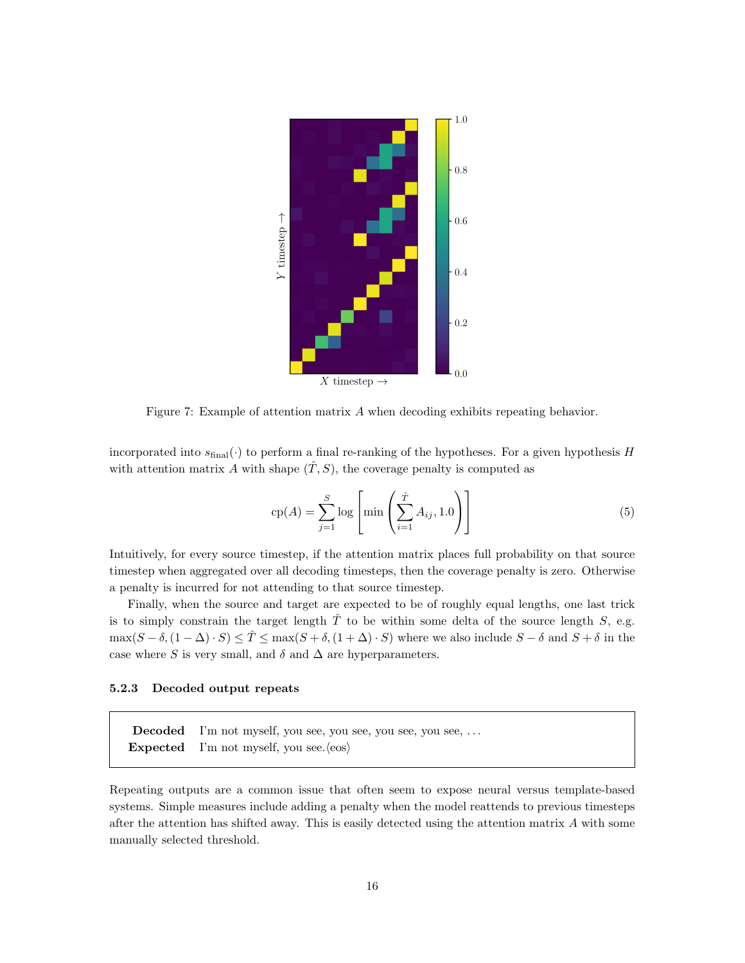

Figure 7: Example of attention matrix A when decoding exhibits repeating behavior.

incorporated into  $s_{\text{final}}(\cdot)$  to perform a final re-ranking of the hypotheses. For a given hypothesis H with attention matrix A with shape  $(\hat{T}, S)$ , the coverage penalty is computed as

$$
cp(A) = \sum_{j=1}^{S} log\left[\min\left(\sum_{i=1}^{\hat{T}} A_{ij}, 1.0\right)\right]
$$
\n(5)

Intuitively, for every source timestep, if the attention matrix places full probability on that source timestep when aggregated over all decoding timesteps, then the coverage penalty is zero. Otherwise a penalty is incurred for not attending to that source timestep.

Finally, when the source and target are expected to be of roughly equal lengths, one last trick is to simply constrain the target length  $\hat{T}$  to be within some delta of the source length S, e.g.  $\max(S - \delta, (1 - \Delta) \cdot S) \leq \hat{T} \leq \max(S + \delta, (1 + \Delta) \cdot S)$  where we also include  $S - \delta$  and  $S + \delta$  in the case where S is very small, and  $\delta$  and  $\Delta$  are hyperparameters.

#### <span id="page-15-0"></span>5.2.3 Decoded output repeats

Decoded I'm not myself, you see, you see, you see, you see, . . . Expected I'm not myself, you see. $\langle \cos \rangle$ 

Repeating outputs are a common issue that often seem to expose neural versus template-based systems. Simple measures include adding a penalty when the model reattends to previous timesteps after the attention has shifted away. This is easily detected using the attention matrix A with some manually selected threshold.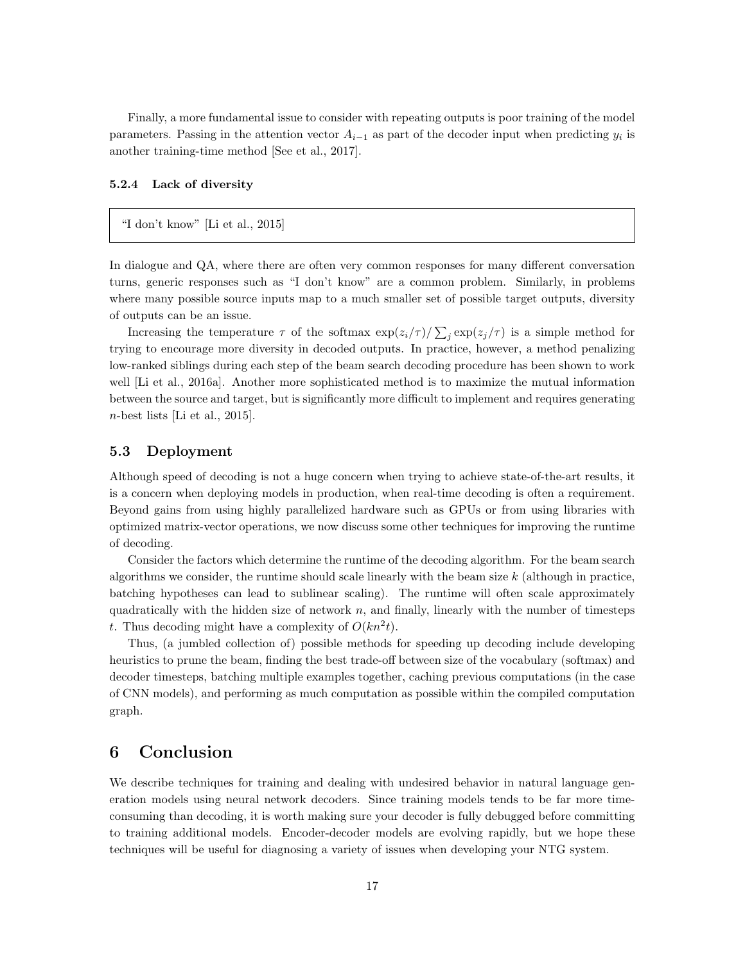Finally, a more fundamental issue to consider with repeating outputs is poor training of the model parameters. Passing in the attention vector  $A_{i-1}$  as part of the decoder input when predicting  $y_i$  is another training-time method [\[See et al.,](#page-19-10) [2017\]](#page-19-10).

#### <span id="page-16-0"></span>5.2.4 Lack of diversity

### "I don't know" [\[Li et al.,](#page-18-17) [2015\]](#page-18-17)

In dialogue and QA, where there are often very common responses for many different conversation turns, generic responses such as "I don't know" are a common problem. Similarly, in problems where many possible source inputs map to a much smaller set of possible target outputs, diversity of outputs can be an issue.

Increasing the temperature  $\tau$  of the softmax  $\exp(z_i/\tau)/\sum_j \exp(z_j/\tau)$  is a simple method for trying to encourage more diversity in decoded outputs. In practice, however, a method penalizing low-ranked siblings during each step of the beam search decoding procedure has been shown to work well [\[Li et al.,](#page-18-18) [2016a\]](#page-18-18). Another more sophisticated method is to maximize the mutual information between the source and target, but is significantly more difficult to implement and requires generating  $n$ -best lists [\[Li et al.,](#page-18-17) [2015\]](#page-18-17).

### <span id="page-16-1"></span>5.3 Deployment

Although speed of decoding is not a huge concern when trying to achieve state-of-the-art results, it is a concern when deploying models in production, when real-time decoding is often a requirement. Beyond gains from using highly parallelized hardware such as GPUs or from using libraries with optimized matrix-vector operations, we now discuss some other techniques for improving the runtime of decoding.

Consider the factors which determine the runtime of the decoding algorithm. For the beam search algorithms we consider, the runtime should scale linearly with the beam size  $k$  (although in practice, batching hypotheses can lead to sublinear scaling). The runtime will often scale approximately quadratically with the hidden size of network  $n$ , and finally, linearly with the number of timesteps t. Thus decoding might have a complexity of  $O(kn^2t)$ .

Thus, (a jumbled collection of) possible methods for speeding up decoding include developing heuristics to prune the beam, finding the best trade-off between size of the vocabulary (softmax) and decoder timesteps, batching multiple examples together, caching previous computations (in the case of CNN models), and performing as much computation as possible within the compiled computation graph.

# <span id="page-16-2"></span>6 Conclusion

We describe techniques for training and dealing with undesired behavior in natural language generation models using neural network decoders. Since training models tends to be far more timeconsuming than decoding, it is worth making sure your decoder is fully debugged before committing to training additional models. Encoder-decoder models are evolving rapidly, but we hope these techniques will be useful for diagnosing a variety of issues when developing your NTG system.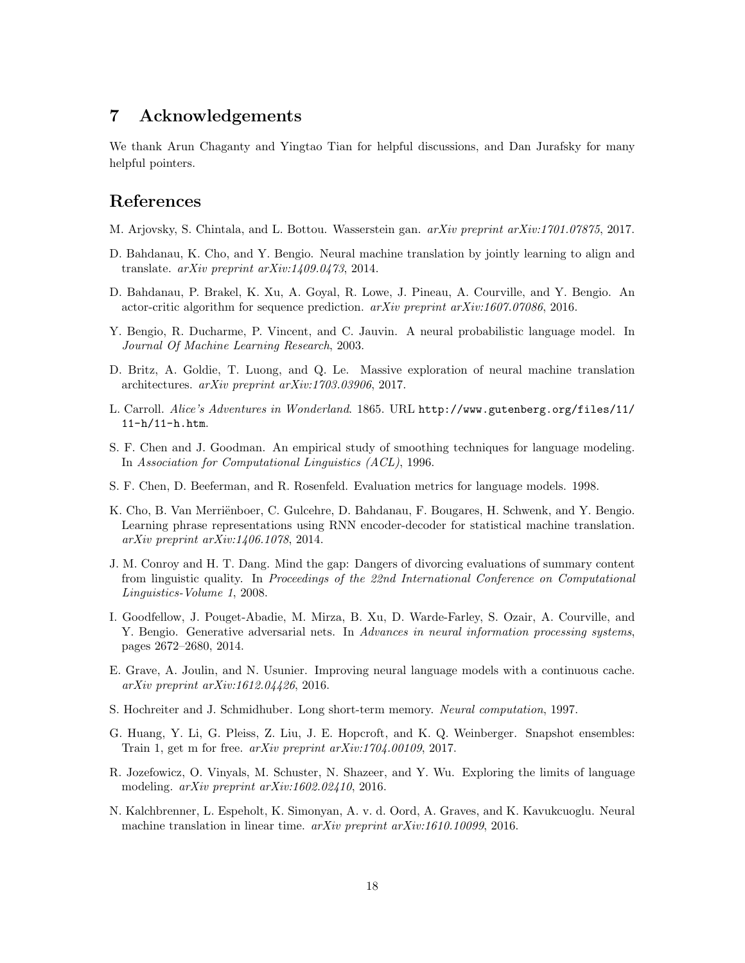# <span id="page-17-0"></span>7 Acknowledgements

We thank Arun Chaganty and Yingtao Tian for helpful discussions, and Dan Jurafsky for many helpful pointers.

## References

- <span id="page-17-10"></span>M. Arjovsky, S. Chintala, and L. Bottou. Wasserstein gan. arXiv preprint arXiv:1701.07875, 2017.
- <span id="page-17-7"></span>D. Bahdanau, K. Cho, and Y. Bengio. Neural machine translation by jointly learning to align and translate.  $arXiv$  preprint  $arXiv:1409.0473$ , 2014.
- <span id="page-17-9"></span>D. Bahdanau, P. Brakel, K. Xu, A. Goyal, R. Lowe, J. Pineau, A. Courville, and Y. Bengio. An actor-critic algorithm for sequence prediction.  $arXiv$  preprint  $arXiv:1607.07086$ , 2016.
- <span id="page-17-3"></span>Y. Bengio, R. Ducharme, P. Vincent, and C. Jauvin. A neural probabilistic language model. In Journal Of Machine Learning Research, 2003.
- <span id="page-17-15"></span>D. Britz, A. Goldie, T. Luong, and Q. Le. Massive exploration of neural machine translation architectures. arXiv preprint arXiv:1703.03906, 2017.
- <span id="page-17-16"></span>L. Carroll. Alice's Adventures in Wonderland. 1865. URL [http://www.gutenberg.org/files/11/](http://www.gutenberg.org/files/11/11-h/11-h.htm) [11-h/11-h.htm](http://www.gutenberg.org/files/11/11-h/11-h.htm).
- <span id="page-17-1"></span>S. F. Chen and J. Goodman. An empirical study of smoothing techniques for language modeling. In Association for Computational Linguistics (ACL), 1996.
- <span id="page-17-12"></span>S. F. Chen, D. Beeferman, and R. Rosenfeld. Evaluation metrics for language models. 1998.
- <span id="page-17-4"></span>K. Cho, B. Van Merriënboer, C. Gulcehre, D. Bahdanau, F. Bougares, H. Schwenk, and Y. Bengio. Learning phrase representations using RNN encoder-decoder for statistical machine translation. arXiv preprint arXiv:1406.1078, 2014.
- <span id="page-17-13"></span>J. M. Conroy and H. T. Dang. Mind the gap: Dangers of divorcing evaluations of summary content from linguistic quality. In Proceedings of the 22nd International Conference on Computational Linguistics-Volume 1, 2008.
- <span id="page-17-8"></span>I. Goodfellow, J. Pouget-Abadie, M. Mirza, B. Xu, D. Warde-Farley, S. Ozair, A. Courville, and Y. Bengio. Generative adversarial nets. In Advances in neural information processing systems, pages 2672–2680, 2014.
- <span id="page-17-11"></span>E. Grave, A. Joulin, and N. Usunier. Improving neural language models with a continuous cache. arXiv preprint arXiv:1612.04426, 2016.
- <span id="page-17-5"></span>S. Hochreiter and J. Schmidhuber. Long short-term memory. Neural computation, 1997.
- <span id="page-17-14"></span>G. Huang, Y. Li, G. Pleiss, Z. Liu, J. E. Hopcroft, and K. Q. Weinberger. Snapshot ensembles: Train 1, get m for free. arXiv preprint arXiv:1704.00109, 2017.
- <span id="page-17-2"></span>R. Jozefowicz, O. Vinyals, M. Schuster, N. Shazeer, and Y. Wu. Exploring the limits of language modeling. *arXiv preprint arXiv:1602.02410*, 2016.
- <span id="page-17-6"></span>N. Kalchbrenner, L. Espeholt, K. Simonyan, A. v. d. Oord, A. Graves, and K. Kavukcuoglu. Neural machine translation in linear time. arXiv preprint arXiv:1610.10099, 2016.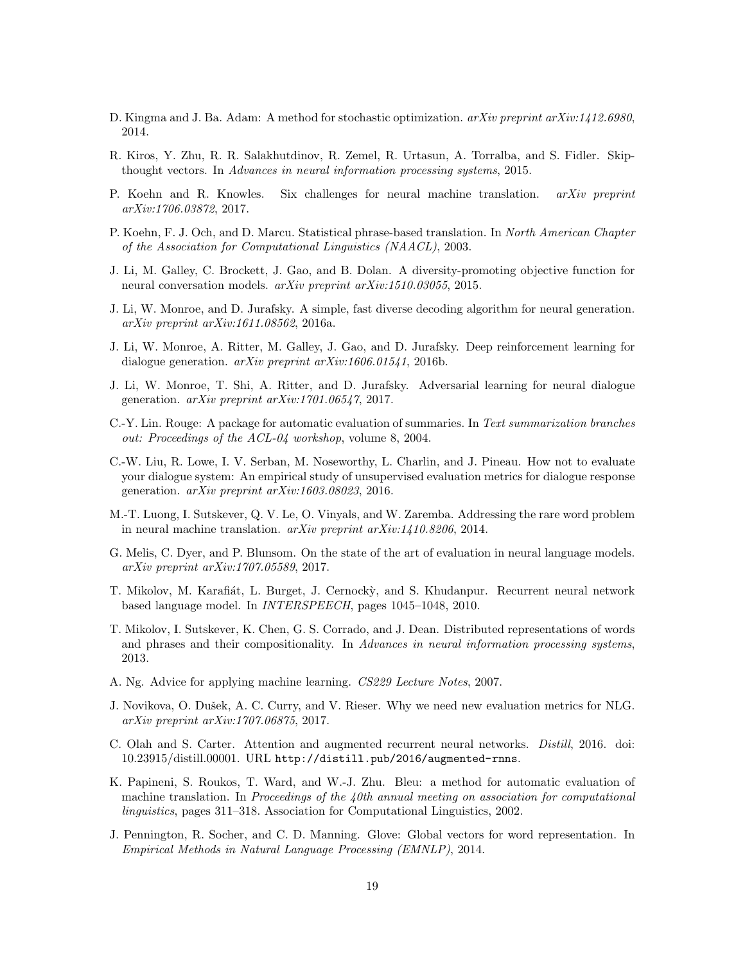- <span id="page-18-5"></span>D. Kingma and J. Ba. Adam: A method for stochastic optimization.  $a\chi i\upsilon$  preprint  $a\chi i\upsilon$ : 1412.6980, 2014.
- <span id="page-18-3"></span>R. Kiros, Y. Zhu, R. R. Salakhutdinov, R. Zemel, R. Urtasun, A. Torralba, and S. Fidler. Skipthought vectors. In Advances in neural information processing systems, 2015.
- <span id="page-18-8"></span>P. Koehn and R. Knowles. Six challenges for neural machine translation.  $arXiv$  preprint arXiv:1706.03872, 2017.
- <span id="page-18-0"></span>P. Koehn, F. J. Och, and D. Marcu. Statistical phrase-based translation. In North American Chapter of the Association for Computational Linguistics (NAACL), 2003.
- <span id="page-18-17"></span>J. Li, M. Galley, C. Brockett, J. Gao, and B. Dolan. A diversity-promoting objective function for neural conversation models. arXiv preprint arXiv:1510.03055, 2015.
- <span id="page-18-18"></span>J. Li, W. Monroe, and D. Jurafsky. A simple, fast diverse decoding algorithm for neural generation. arXiv preprint arXiv:1611.08562, 2016a.
- <span id="page-18-6"></span>J. Li, W. Monroe, A. Ritter, M. Galley, J. Gao, and D. Jurafsky. Deep reinforcement learning for dialogue generation. arXiv preprint arXiv:1606.01541, 2016b.
- <span id="page-18-7"></span>J. Li, W. Monroe, T. Shi, A. Ritter, and D. Jurafsky. Adversarial learning for neural dialogue generation. arXiv preprint arXiv:1701.06547, 2017.
- <span id="page-18-10"></span>C.-Y. Lin. Rouge: A package for automatic evaluation of summaries. In Text summarization branches out: Proceedings of the ACL-04 workshop, volume 8, 2004.
- <span id="page-18-12"></span>C.-W. Liu, R. Lowe, I. V. Serban, M. Noseworthy, L. Charlin, and J. Pineau. How not to evaluate your dialogue system: An empirical study of unsupervised evaluation metrics for dialogue response generation.  $arXiv$  preprint  $arXiv:1603.08023$ , 2016.
- <span id="page-18-16"></span>M.-T. Luong, I. Sutskever, Q. V. Le, O. Vinyals, and W. Zaremba. Addressing the rare word problem in neural machine translation. arXiv preprint arXiv:1410.8206, 2014.
- <span id="page-18-14"></span>G. Melis, C. Dyer, and P. Blunsom. On the state of the art of evaluation in neural language models. arXiv preprint arXiv:1707.05589, 2017.
- <span id="page-18-4"></span>T. Mikolov, M. Karafiát, L. Burget, J. Cernocky, and S. Khudanpur. Recurrent neural network based language model. In INTERSPEECH, pages 1045–1048, 2010.
- <span id="page-18-1"></span>T. Mikolov, I. Sutskever, K. Chen, G. S. Corrado, and J. Dean. Distributed representations of words and phrases and their compositionality. In Advances in neural information processing systems, 2013.
- <span id="page-18-15"></span>A. Ng. Advice for applying machine learning. CS229 Lecture Notes, 2007.
- <span id="page-18-13"></span>J. Novikova, O. Dušek, A. C. Curry, and V. Rieser. Why we need new evaluation metrics for NLG. arXiv preprint arXiv:1707.06875, 2017.
- <span id="page-18-9"></span>C. Olah and S. Carter. Attention and augmented recurrent neural networks. Distill, 2016. doi: 10.23915/distill.00001. URL <http://distill.pub/2016/augmented-rnns>.
- <span id="page-18-11"></span>K. Papineni, S. Roukos, T. Ward, and W.-J. Zhu. Bleu: a method for automatic evaluation of machine translation. In Proceedings of the  $40th$  annual meeting on association for computational linguistics, pages 311–318. Association for Computational Linguistics, 2002.
- <span id="page-18-2"></span>J. Pennington, R. Socher, and C. D. Manning. Glove: Global vectors for word representation. In Empirical Methods in Natural Language Processing (EMNLP), 2014.